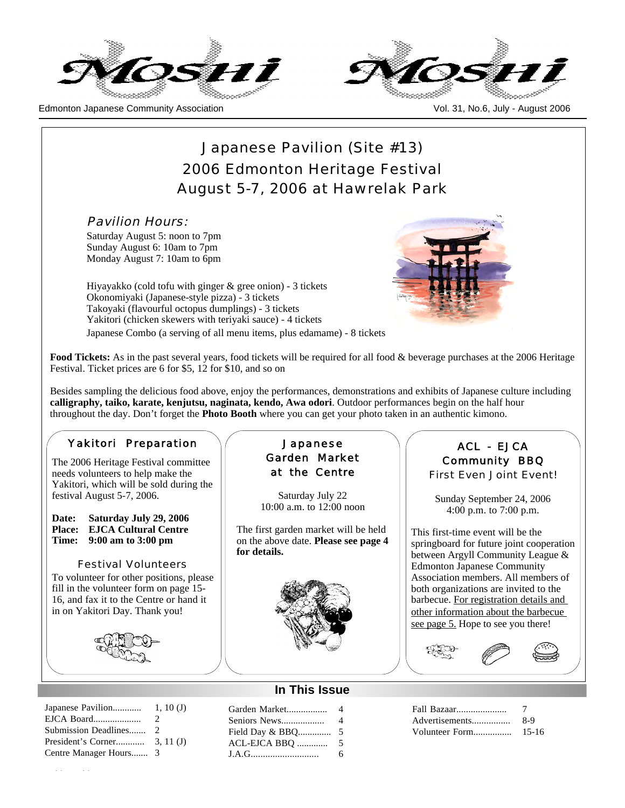



# Japanese Pavilion (Site #13) 2006 Edmonton Heritage Festival August 5-7, 2006 at Hawrelak Park

Pavilion Hours:

Saturday August 5: noon to 7pm Sunday August 6: 10am to 7pm Monday August 7: 10am to 6pm

Hiyayakko (cold tofu with ginger & gree onion) - 3 tickets Okonomiyaki (Japanese-style pizza) - 3 tickets Takoyaki (flavourful octopus dumplings) - 3 tickets Yakitori (chicken skewers with teriyaki sauce) - 4 tickets Japanese Combo (a serving of all menu items, plus edamame) - 8 tickets



**Food Tickets:** As in the past several years, food tickets will be required for all food & beverage purchases at the 2006 Heritage Festival. Ticket prices are 6 for \$5, 12 for \$10, and so on

Besides sampling the delicious food above, enjoy the performances, demonstrations and exhibits of Japanese culture including **calligraphy, taiko, karate, kenjutsu, naginata, kendo, Awa odori**. Outdoor performances begin on the half hour throughout the day. Don't forget the **Photo Booth** where you can get your photo taken in an authentic kimono.

#### Yakitori Preparation

The 2006 Heritage Festival committee needs volunteers to help make the Yakitori, which will be sold during the festival August 5-7, 2006.

#### **Date: Saturday July 29, 2006 Place: EJCA Cultural Centre Time: 9:00 am to 3:00 pm**

Festival Volunteers To volunteer for other positions, please fill in the volunteer form on page 15- 16, and fax it to the Centre or hand it in on Yakitori Day. Thank you!



#### Japanese Pavilion............ 1, 10 (J) EJCA Board.................... 2 Submission Deadlines....... 2 President's Corner............ 3, 11 (J) Centre Manager Hours....... 3

Moshi Moshi

#### Japanese Garden Market at the Centre

Saturday July 22 10:00 a.m. to 12:00 noon

The first garden market will be held on the above date. **Please see page 4 for details.**



#### **In This Issue**

Garden Market................. 4 Seniors News.................. 4 Field Day & BBQ.............. 5 ACL-EJCA BBQ ............. 5 J.A.G............................ 6

# ACL - EJCA Community BBQ

First Even Joint Event!

Sunday September 24, 2006 4:00 p.m. to 7:00 p.m.

This first-time event will be the springboard for future joint cooperation between Argyll Community League & Edmonton Japanese Community Association members. All members of both organizations are invited to the barbecue. For registration details and other information about the barbecue see page 5. Hope to see you there!



| Fall Bazaar    | $\cdot$ $\prime$ |
|----------------|------------------|
| Advertisements | 8-9              |
| Volunteer Form | 15-16            |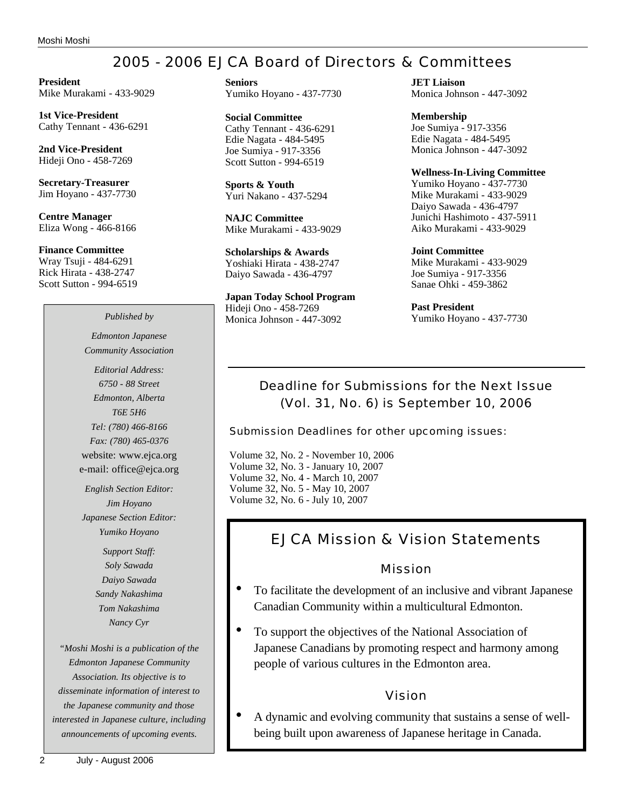# 2005 - 2006 EJCA Board of Directors & Committees

**President** Mike Murakami - 433-9029

**1st Vice-President** Cathy Tennant - 436-6291

**2nd Vice-President** Hideji Ono - 458-7269

**Secretary-Treasurer** Jim Hoyano - 437-7730

**Centre Manager** Eliza Wong - 466-8166

**Finance Committee** Wray Tsuji - 484-6291 Rick Hirata - 438-2747 Scott Sutton - 994-6519

# *Edmonton Japanese Community Association*

*Editorial Address: 6750 - 88 Street Edmonton, Alberta T6E 5H6 Tel: (780) 466-8166 Fax: (780) 465-0376* website: www.ejca.org e-mail: office@ejca.org

*English Section Editor: Jim Hoyano Japanese Section Editor: Yumiko Hoyano*

> *Support Staff: Soly Sawada Daiyo Sawada Sandy Nakashima Tom Nakashima Nancy Cyr*

*"Moshi Moshi is a publication of the Edmonton Japanese Community Association. Its objective is to disseminate information of interest to the Japanese community and those interested in Japanese culture, including announcements of upcoming events.*

**Seniors** Yumiko Hoyano - 437-7730

**Social Committee** Cathy Tennant - 436-6291 Edie Nagata - 484-5495 Joe Sumiya - 917-3356 Scott Sutton - 994-6519

**Sports & Youth** Yuri Nakano - 437-5294

**NAJC Committee** Mike Murakami - 433-9029

**Scholarships & Awards** Yoshiaki Hirata - 438-2747 Daiyo Sawada - 436-4797

**Japan Today School Program** Hideji Ono - 458-7269 Monica Johnson - 447-3092 *Published by* Monica Johnson - 447-3092 Yumiko Hoyano - 437-7730

**JET Liaison** Monica Johnson - 447-3092

**Membership** Joe Sumiya - 917-3356 Edie Nagata - 484-5495 Monica Johnson - 447-3092

**Wellness-In-Living Committee**

Yumiko Hoyano - 437-7730 Mike Murakami - 433-9029 Daiyo Sawada - 436-4797 Junichi Hashimoto - 437-5911 Aiko Murakami - 433-9029

**Joint Committee** Mike Murakami - 433-9029 Joe Sumiya - 917-3356 Sanae Ohki - 459-3862

**Past President**

# Deadline for Submissions for the Next Issue (Vol. 31, No. 6) is September 10, 2006

Submission Deadlines for other upcoming issues:

Volume 32, No. 2 - November 10, 2006 Volume 32, No. 3 - January 10, 2007 Volume 32, No. 4 - March 10, 2007 Volume 32, No. 5 - May 10, 2007 Volume 32, No. 6 - July 10, 2007

# EJCA Mission & Vision Statements

### Mission

- To facilitate the development of an inclusive and vibrant Japanese Canadian Community within a multicultural Edmonton.
- To support the objectives of the National Association of Japanese Canadians by promoting respect and harmony among people of various cultures in the Edmonton area.

# Vision

• A dynamic and evolving community that sustains a sense of wellbeing built upon awareness of Japanese heritage in Canada.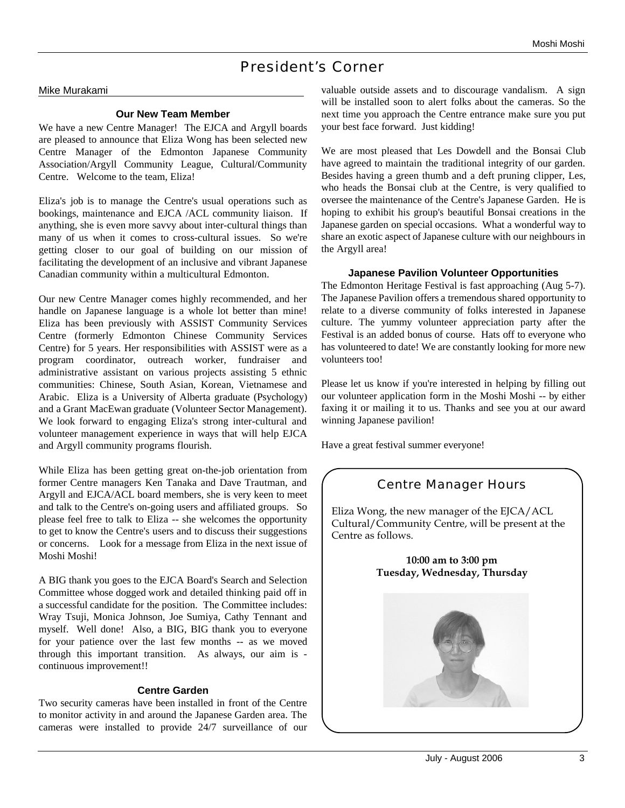# President's Corner

#### Mike Murakami

#### **Our New Team Member**

We have a new Centre Manager! The EJCA and Argyll boards are pleased to announce that Eliza Wong has been selected new Centre Manager of the Edmonton Japanese Community Association/Argyll Community League, Cultural/Community Centre. Welcome to the team, Eliza!

Eliza's job is to manage the Centre's usual operations such as bookings, maintenance and EJCA /ACL community liaison. If anything, she is even more savvy about inter-cultural things than many of us when it comes to cross-cultural issues. So we're getting closer to our goal of building on our mission of facilitating the development of an inclusive and vibrant Japanese Canadian community within a multicultural Edmonton.

Our new Centre Manager comes highly recommended, and her handle on Japanese language is a whole lot better than mine! Eliza has been previously with ASSIST Community Services Centre (formerly Edmonton Chinese Community Services Centre) for 5 years. Her responsibilities with ASSIST were as a program coordinator, outreach worker, fundraiser and administrative assistant on various projects assisting 5 ethnic communities: Chinese, South Asian, Korean, Vietnamese and Arabic. Eliza is a University of Alberta graduate (Psychology) and a Grant MacEwan graduate (Volunteer Sector Management). We look forward to engaging Eliza's strong inter-cultural and volunteer management experience in ways that will help EJCA and Argyll community programs flourish.

While Eliza has been getting great on-the-job orientation from former Centre managers Ken Tanaka and Dave Trautman, and Argyll and EJCA/ACL board members, she is very keen to meet and talk to the Centre's on-going users and affiliated groups. So please feel free to talk to Eliza -- she welcomes the opportunity to get to know the Centre's users and to discuss their suggestions or concerns. Look for a message from Eliza in the next issue of Moshi Moshi!

A BIG thank you goes to the EJCA Board's Search and Selection Committee whose dogged work and detailed thinking paid off in a successful candidate for the position. The Committee includes: Wray Tsuji, Monica Johnson, Joe Sumiya, Cathy Tennant and myself. Well done! Also, a BIG, BIG thank you to everyone for your patience over the last few months -- as we moved through this important transition. As always, our aim is continuous improvement!!

#### **Centre Garden**

Two security cameras have been installed in front of the Centre to monitor activity in and around the Japanese Garden area. The cameras were installed to provide 24/7 surveillance of our valuable outside assets and to discourage vandalism. A sign will be installed soon to alert folks about the cameras. So the next time you approach the Centre entrance make sure you put your best face forward. Just kidding!

We are most pleased that Les Dowdell and the Bonsai Club have agreed to maintain the traditional integrity of our garden. Besides having a green thumb and a deft pruning clipper, Les, who heads the Bonsai club at the Centre, is very qualified to oversee the maintenance of the Centre's Japanese Garden. He is hoping to exhibit his group's beautiful Bonsai creations in the Japanese garden on special occasions. What a wonderful way to share an exotic aspect of Japanese culture with our neighbours in the Argyll area!

#### **Japanese Pavilion Volunteer Opportunities**

The Edmonton Heritage Festival is fast approaching (Aug 5-7). The Japanese Pavilion offers a tremendous shared opportunity to relate to a diverse community of folks interested in Japanese culture. The yummy volunteer appreciation party after the Festival is an added bonus of course. Hats off to everyone who has volunteered to date! We are constantly looking for more new volunteers too!

Please let us know if you're interested in helping by filling out our volunteer application form in the Moshi Moshi -- by either faxing it or mailing it to us. Thanks and see you at our award winning Japanese pavilion!

Have a great festival summer everyone!

# Centre Manager Hours

Eliza Wong, the new manager of the EJCA/ACL Cultural/Community Centre, will be present at the Centre as follows.

> **10:00 am to 3:00 pm Tuesday, Wednesday, Thursday**

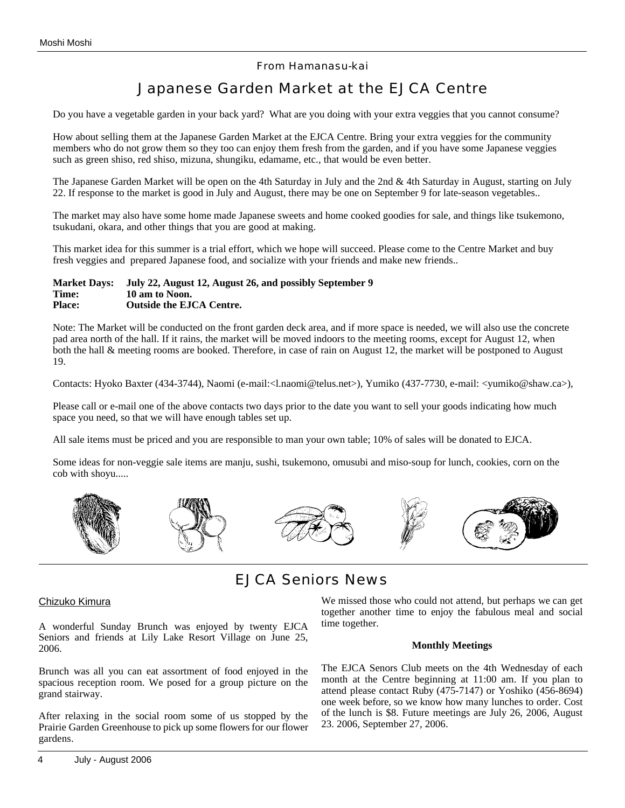#### From Hamanasu-kai

# Japanese Garden Market at the EJCA Centre

Do you have a vegetable garden in your back yard? What are you doing with your extra veggies that you cannot consume?

How about selling them at the Japanese Garden Market at the EJCA Centre. Bring your extra veggies for the community members who do not grow them so they too can enjoy them fresh from the garden, and if you have some Japanese veggies such as green shiso, red shiso, mizuna, shungiku, edamame, etc., that would be even better.

The Japanese Garden Market will be open on the 4th Saturday in July and the 2nd & 4th Saturday in August, starting on July 22. If response to the market is good in July and August, there may be one on September 9 for late-season vegetables..

The market may also have some home made Japanese sweets and home cooked goodies for sale, and things like tsukemono, tsukudani, okara, and other things that you are good at making.

This market idea for this summer is a trial effort, which we hope will succeed. Please come to the Centre Market and buy fresh veggies and prepared Japanese food, and socialize with your friends and make new friends..

#### **Market Days: July 22, August 12, August 26, and possibly September 9 Time: 10 am to Noon. Place: Outside the EJCA Centre.**

Note: The Market will be conducted on the front garden deck area, and if more space is needed, we will also use the concrete pad area north of the hall. If it rains, the market will be moved indoors to the meeting rooms, except for August 12, when both the hall & meeting rooms are booked. Therefore, in case of rain on August 12, the market will be postponed to August 19.

Contacts: Hyoko Baxter (434-3744), Naomi (e-mail:<l.naomi@telus.net>), Yumiko (437-7730, e-mail: <yumiko@shaw.ca>),

Please call or e-mail one of the above contacts two days prior to the date you want to sell your goods indicating how much space you need, so that we will have enough tables set up.

All sale items must be priced and you are responsible to man your own table; 10% of sales will be donated to EJCA.

Some ideas for non-veggie sale items are manju, sushi, tsukemono, omusubi and miso-soup for lunch, cookies, corn on the cob with shoyu.....



# EJCA Seniors News

#### Chizuko Kimura

A wonderful Sunday Brunch was enjoyed by twenty EJCA Seniors and friends at Lily Lake Resort Village on June 25, 2006.

Brunch was all you can eat assortment of food enjoyed in the spacious reception room. We posed for a group picture on the grand stairway.

After relaxing in the social room some of us stopped by the Prairie Garden Greenhouse to pick up some flowers for our flower gardens.

We missed those who could not attend, but perhaps we can get together another time to enjoy the fabulous meal and social time together.

#### **Monthly Meetings**

The EJCA Senors Club meets on the 4th Wednesday of each month at the Centre beginning at 11:00 am. If you plan to attend please contact Ruby (475-7147) or Yoshiko (456-8694) one week before, so we know how many lunches to order. Cost of the lunch is \$8. Future meetings are July 26, 2006, August 23. 2006, September 27, 2006.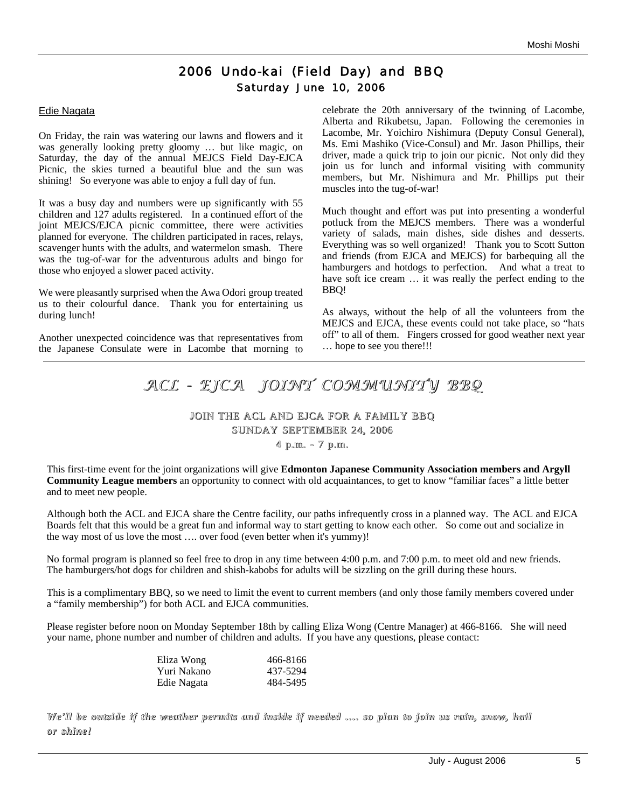# 2006 Undo-kai (Field Day) and BBQ Saturday June 10, 2006

#### Edie Nagata

On Friday, the rain was watering our lawns and flowers and it was generally looking pretty gloomy … but like magic, on Saturday, the day of the annual MEJCS Field Day-EJCA Picnic, the skies turned a beautiful blue and the sun was shining! So everyone was able to enjoy a full day of fun.

It was a busy day and numbers were up significantly with 55 children and 127 adults registered. In a continued effort of the joint MEJCS/EJCA picnic committee, there were activities planned for everyone. The children participated in races, relays, scavenger hunts with the adults, and watermelon smash. There was the tug-of-war for the adventurous adults and bingo for those who enjoyed a slower paced activity.

We were pleasantly surprised when the Awa Odori group treated us to their colourful dance. Thank you for entertaining us during lunch!

Another unexpected coincidence was that representatives from the Japanese Consulate were in Lacombe that morning to celebrate the 20th anniversary of the twinning of Lacombe, Alberta and Rikubetsu, Japan. Following the ceremonies in Lacombe, Mr. Yoichiro Nishimura (Deputy Consul General), Ms. Emi Mashiko (Vice-Consul) and Mr. Jason Phillips, their driver, made a quick trip to join our picnic. Not only did they join us for lunch and informal visiting with community members, but Mr. Nishimura and Mr. Phillips put their muscles into the tug-of-war!

Much thought and effort was put into presenting a wonderful potluck from the MEJCS members. There was a wonderful variety of salads, main dishes, side dishes and desserts. Everything was so well organized! Thank you to Scott Sutton and friends (from EJCA and MEJCS) for barbequing all the hamburgers and hotdogs to perfection. And what a treat to have soft ice cream  $\dots$  it was really the perfect ending to the BBQ!

As always, without the help of all the volunteers from the MEJCS and EJCA, these events could not take place, so "hats off" to all of them. Fingers crossed for good weather next year … hope to see you there!!!

# *ACL - EJCA JOINT COMMUNITY COMMUNITY BBQ*

#### JOIN THE ACL AND EJCA FOR A FAMILY BBQ SUNDAY SEPTEMBER 24, 2006 4 p.m. - 7 p.m.

This first-time event for the joint organizations will give **Edmonton Japanese Community Association members and Argyll** 

**Community League members** an opportunity to connect with old acquaintances, to get to know "familiar faces" a little better and to meet new people.

Although both the ACL and EJCA share the Centre facility, our paths infrequently cross in a planned way. The ACL and EJCA Boards felt that this would be a great fun and informal way to start getting to know each other. So come out and socialize in the way most of us love the most …. over food (even better when it's yummy)!

No formal program is planned so feel free to drop in any time between 4:00 p.m. and 7:00 p.m. to meet old and new friends. The hamburgers/hot dogs for children and shish-kabobs for adults will be sizzling on the grill during these hours.

This is a complimentary BBQ, so we need to limit the event to current members (and only those family members covered under a "family membership") for both ACL and EJCA communities.

Please register before noon on Monday September 18th by calling Eliza Wong (Centre Manager) at 466-8166. She will need your name, phone number and number of children and adults. If you have any questions, please contact:

| Eliza Wong  | 466-8166 |
|-------------|----------|
| Yuri Nakano | 437-5294 |
| Edie Nagata | 484-5495 |

#### We'll be outside if the weather permits and inside if needed …. so plan to join us rain, snow, hail *or shine!*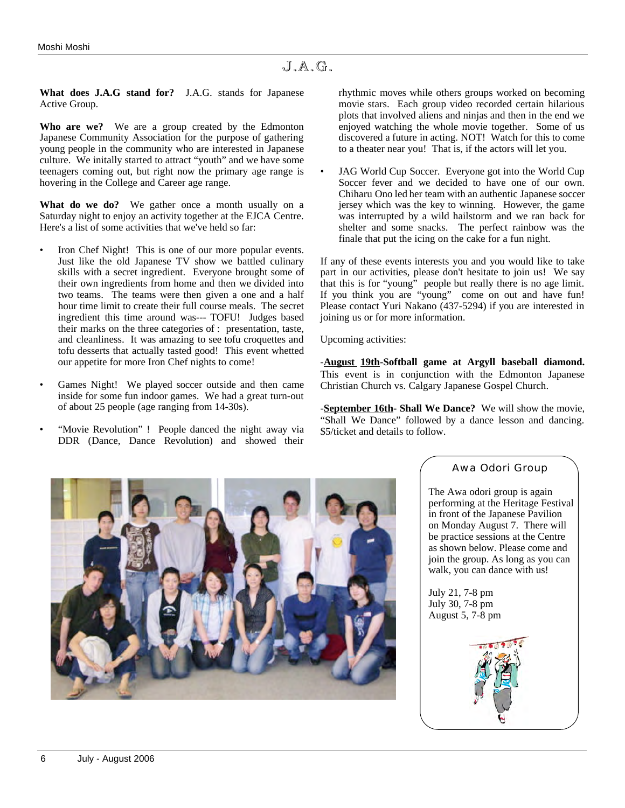**What does J.A.G stand for?** J.A.G. stands for Japanese Active Group.

**Who are we?** We are a group created by the Edmonton Japanese Community Association for the purpose of gathering young people in the community who are interested in Japanese culture. We initally started to attract "youth" and we have some teenagers coming out, but right now the primary age range is hovering in the College and Career age range.

**What do we do?** We gather once a month usually on a Saturday night to enjoy an activity together at the EJCA Centre. Here's a list of some activities that we've held so far:

- Iron Chef Night! This is one of our more popular events. Just like the old Japanese TV show we battled culinary skills with a secret ingredient. Everyone brought some of their own ingredients from home and then we divided into two teams. The teams were then given a one and a half hour time limit to create their full course meals. The secret ingredient this time around was--- TOFU! Judges based their marks on the three categories of : presentation, taste, and cleanliness. It was amazing to see tofu croquettes and tofu desserts that actually tasted good! This event whetted our appetite for more Iron Chef nights to come!
- Games Night! We played soccer outside and then came inside for some fun indoor games. We had a great turn-out of about 25 people (age ranging from 14-30s).
- "Movie Revolution" ! People danced the night away via DDR (Dance, Dance Revolution) and showed their

rhythmic moves while others groups worked on becoming movie stars. Each group video recorded certain hilarious plots that involved aliens and ninjas and then in the end we enjoyed watching the whole movie together. Some of us discovered a future in acting. NOT! Watch for this to come to a theater near you! That is, if the actors will let you.

JAG World Cup Soccer. Everyone got into the World Cup Soccer fever and we decided to have one of our own. Chiharu Ono led her team with an authentic Japanese soccer jersey which was the key to winning. However, the game was interrupted by a wild hailstorm and we ran back for shelter and some snacks. The perfect rainbow was the finale that put the icing on the cake for a fun night.

If any of these events interests you and you would like to take part in our activities, please don't hesitate to join us! We say that this is for "young" people but really there is no age limit. If you think you are "young" come on out and have fun! Please contact Yuri Nakano (437-5294) if you are interested in joining us or for more information.

Upcoming activities:

-**August 19th-Softball game at Argyll baseball diamond.**  This event is in conjunction with the Edmonton Japanese Christian Church vs. Calgary Japanese Gospel Church.

-**September 16th- Shall We Dance?** We will show the movie, "Shall We Dance" followed by a dance lesson and dancing. \$5/ticket and details to follow.



#### Awa Odori Group

The Awa odori group is again performing at the Heritage Festival in front of the Japanese Pavilion on Monday August 7. There will be practice sessions at the Centre as shown below. Please come and join the group. As long as you can walk, you can dance with us!

July 21, 7-8 pm July 30, 7-8 pm August 5, 7-8 pm

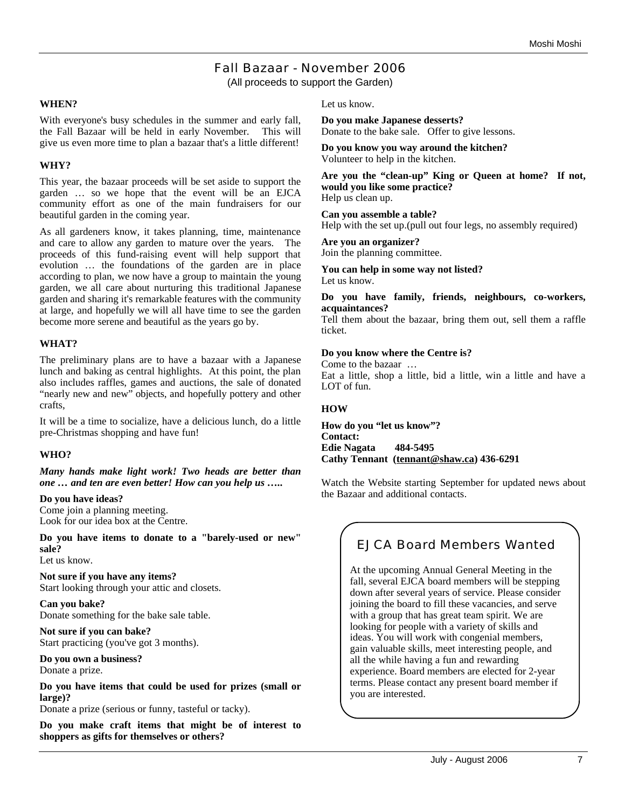### Fall Bazaar - November 2006 (All proceeds to support the Garden)

#### **WHEN?**

With everyone's busy schedules in the summer and early fall, the Fall Bazaar will be held in early November. This will give us even more time to plan a bazaar that's a little different!

#### **WHY?**

This year, the bazaar proceeds will be set aside to support the garden … so we hope that the event will be an EJCA community effort as one of the main fundraisers for our beautiful garden in the coming year.

As all gardeners know, it takes planning, time, maintenance and care to allow any garden to mature over the years. The proceeds of this fund-raising event will help support that evolution … the foundations of the garden are in place according to plan, we now have a group to maintain the young garden, we all care about nurturing this traditional Japanese garden and sharing it's remarkable features with the community at large, and hopefully we will all have time to see the garden become more serene and beautiful as the years go by.

#### **WHAT?**

The preliminary plans are to have a bazaar with a Japanese lunch and baking as central highlights. At this point, the plan also includes raffles, games and auctions, the sale of donated "nearly new and new" objects, and hopefully pottery and other crafts,

It will be a time to socialize, have a delicious lunch, do a little pre-Christmas shopping and have fun!

#### **WHO?**

*Many hands make light work! Two heads are better than one … and ten are even better! How can you help us …..*

#### **Do you have ideas?**

Come join a planning meeting. Look for our idea box at the Centre.

**Do you have items to donate to a "barely-used or new" sale?**

Let us know.

**Not sure if you have any items?** Start looking through your attic and closets.

**Can you bake?** Donate something for the bake sale table.

**Not sure if you can bake?** Start practicing (you've got 3 months).

**Do you own a business?** Donate a prize.

**Do you have items that could be used for prizes (small or large)?**

Donate a prize (serious or funny, tasteful or tacky).

**Do you make craft items that might be of interest to shoppers as gifts for themselves or others?**

Let us know.

**Do you make Japanese desserts?** Donate to the bake sale. Offer to give lessons.

**Do you know you way around the kitchen?** Volunteer to help in the kitchen.

**Are you the "clean-up" King or Queen at home? If not, would you like some practice?** Help us clean up.

**Can you assemble a table?** Help with the set up.(pull out four legs, no assembly required)

**Are you an organizer?** Join the planning committee.

**You can help in some way not listed?**

Let us know.

#### **Do you have family, friends, neighbours, co-workers, acquaintances?**

Tell them about the bazaar, bring them out, sell them a raffle ticket.

#### **Do you know where the Centre is?**

Come to the bazaar … Eat a little, shop a little, bid a little, win a little and have a LOT of fun.

#### **HOW**

**How do you "let us know"? Contact: Edie Nagata 484-5495 Cathy Tennant (tennant@shaw.ca) 436-6291**

Watch the Website starting September for updated news about the Bazaar and additional contacts.

# EJCA Board Members Wanted

At the upcoming Annual General Meeting in the fall, several EJCA board members will be stepping down after several years of service. Please consider joining the board to fill these vacancies, and serve with a group that has great team spirit. We are looking for people with a variety of skills and ideas. You will work with congenial members, gain valuable skills, meet interesting people, and all the while having a fun and rewarding experience. Board members are elected for 2-year terms. Please contact any present board member if you are interested.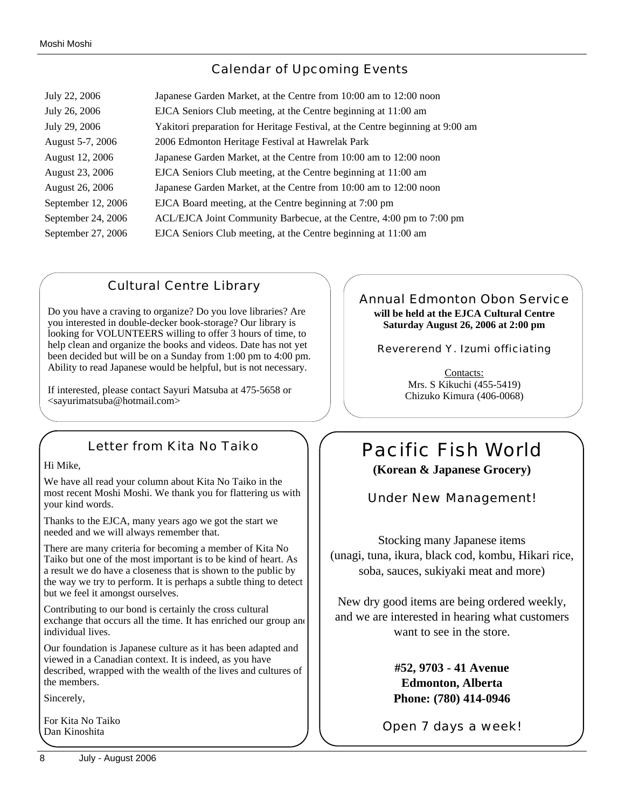# Calendar of Upcoming Events

| July 22, 2006      | Japanese Garden Market, at the Centre from 10:00 am to 12:00 noon              |
|--------------------|--------------------------------------------------------------------------------|
| July 26, 2006      | EJCA Seniors Club meeting, at the Centre beginning at 11:00 am                 |
| July 29, 2006      | Yakitori preparation for Heritage Festival, at the Centre beginning at 9:00 am |
| August 5-7, 2006   | 2006 Edmonton Heritage Festival at Hawrelak Park                               |
| August 12, 2006    | Japanese Garden Market, at the Centre from 10:00 am to 12:00 noon              |
| August 23, 2006    | EJCA Seniors Club meeting, at the Centre beginning at 11:00 am                 |
| August 26, 2006    | Japanese Garden Market, at the Centre from 10:00 am to 12:00 noon              |
| September 12, 2006 | EJCA Board meeting, at the Centre beginning at 7:00 pm                         |
| September 24, 2006 | ACL/EJCA Joint Community Barbecue, at the Centre, 4:00 pm to 7:00 pm           |
| September 27, 2006 | EJCA Seniors Club meeting, at the Centre beginning at 11:00 am                 |

# Cultural Centre Library

Do you have a craving to organize? Do you love libraries? Are you interested in double-decker book-storage? Our library is looking for VOLUNTEERS willing to offer 3 hours of time, to help clean and organize the books and videos. Date has not yet been decided but will be on a Sunday from 1:00 pm to 4:00 pm. Ability to read Japanese would be helpful, but is not necessary.

If interested, please contact Sayuri Matsuba at 475-5658 or <sayurimatsuba@hotmail.com>

# Letter from Kita No Taiko

#### Hi Mike,

We have all read your column about Kita No Taiko in the most recent Moshi Moshi. We thank you for flattering us with your kind words.

Thanks to the EJCA, many years ago we got the start we needed and we will always remember that.

There are many criteria for becoming a member of Kita No Taiko but one of the most important is to be kind of heart. As a result we do have a closeness that is shown to the public by the way we try to perform. It is perhaps a subtle thing to detect but we feel it amongst ourselves.

Contributing to our bond is certainly the cross cultural exchange that occurs all the time. It has enriched our group and individual lives.

Our foundation is Japanese culture as it has been adapted and viewed in a Canadian context. It is indeed, as you have described, wrapped with the wealth of the lives and cultures of the members.

Sincerely,

For Kita No Taiko Dan Kinoshita

#### Annual Edmonton Obon Service **will be held at the EJCA Cultural Centre Saturday August 26, 2006 at 2:00 pm**

Revererend Y. Izumi officiating

Contacts: Mrs. S Kikuchi (455-5419) Chizuko Kimura (406-0068)

# Pacific Fish World **(Korean & Japanese Grocery)**

Under New Management!

Stocking many Japanese items (unagi, tuna, ikura, black cod, kombu, Hikari rice, soba, sauces, sukiyaki meat and more)

New dry good items are being ordered weekly, and we are interested in hearing what customers want to see in the store.

> **#52, 9703 - 41 Avenue Edmonton, Alberta Phone: (780) 414-0946**

Open 7 days a week!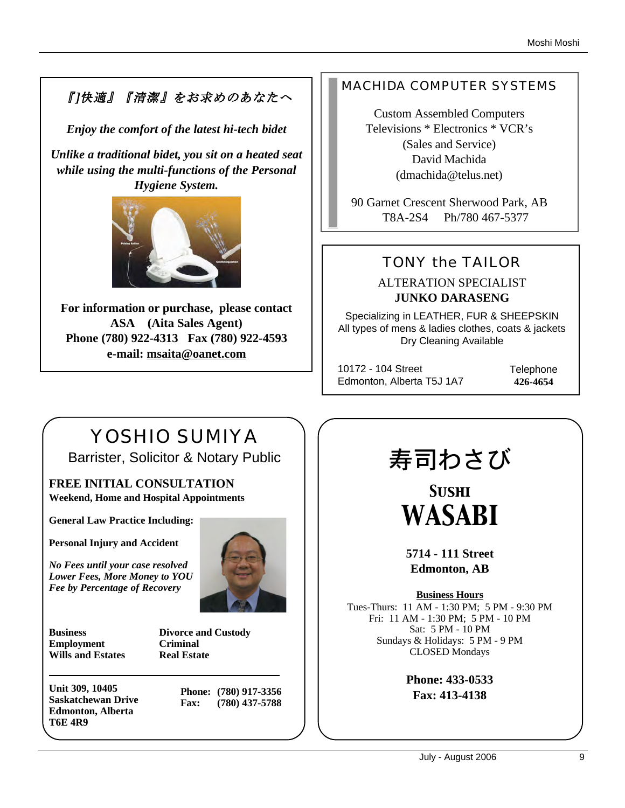# 『]快適』『清潔』をお求めのあなたへ

*Enjoy the comfort of the latest hi-tech bidet*

*Unlike a traditional bidet, you sit on a heated seat while using the multi-functions of the Personal Hygiene System.* 



**For information or purchase, please contact ASA (Aita Sales Agent) Phone (780) 922-4313 Fax (780) 922-4593 e-mail: msaita@oanet.com**

# MACHIDA COMPUTER SYSTEMS

Custom Assembled Computers Televisions \* Electronics \* VCR's (Sales and Service) David Machida (dmachida@telus.net)

90 Garnet Crescent Sherwood Park, AB T8A-2S4 Ph/780 467-5377

# TONY the TAILOR

ALTERATION SPECIALIST **JUNKO DARASENG**

Specializing in LEATHER, FUR & SHEEPSKIN All types of mens & ladies clothes, coats & jackets Dry Cleaning Available

10172 - 104 Street Edmonton, Alberta T5J 1A7 **Telephone 426-4654**

# YOSHIO SUMIYA Barrister, Solicitor & Notary Public

**FREE INITIAL CONSULTATION Weekend, Home and Hospital Appointments**

**General Law Practice Including:**

**Personal Injury and Accident**

*No Fees until your case resolved Lower Fees, More Money to YOU Fee by Percentage of Recovery*



**Business Divorce and Custody Employment Criminal Wills and Estates Real Estate**

**Unit 309, 10405 Saskatchewan Drive Edmonton, Alberta T6E 4R9**

**Phone: (780) 917-3356 Fax: (780) 437-5788**

# 寿司わさび

*Sushi WASABI*

**5714 - 111 Street Edmonton, AB**

**Business Hours** Tues-Thurs: 11 AM - 1:30 PM; 5 PM - 9:30 PM Fri: 11 AM - 1:30 PM; 5 PM - 10 PM Sat: 5 PM - 10 PM Sundays & Holidays: 5 PM - 9 PM CLOSED Mondays

> **Phone: 433-0533 Fax: 413-4138**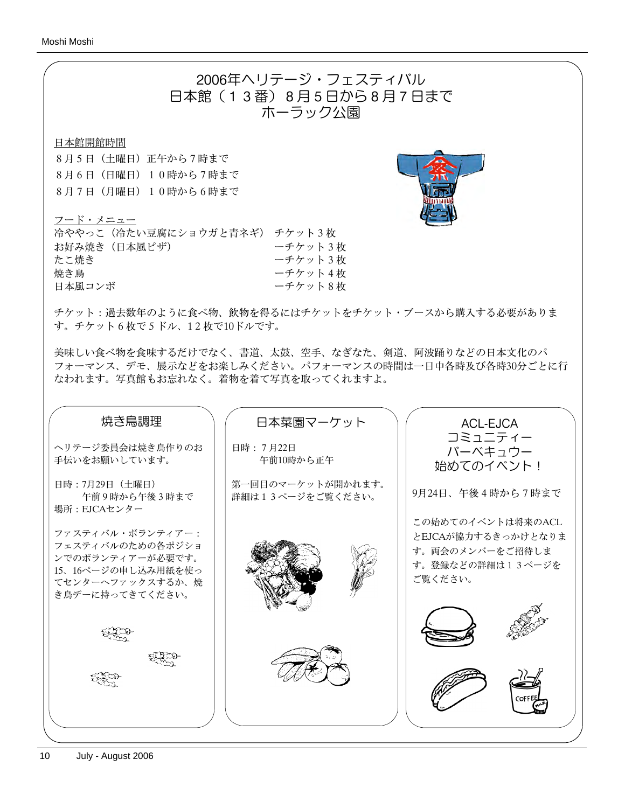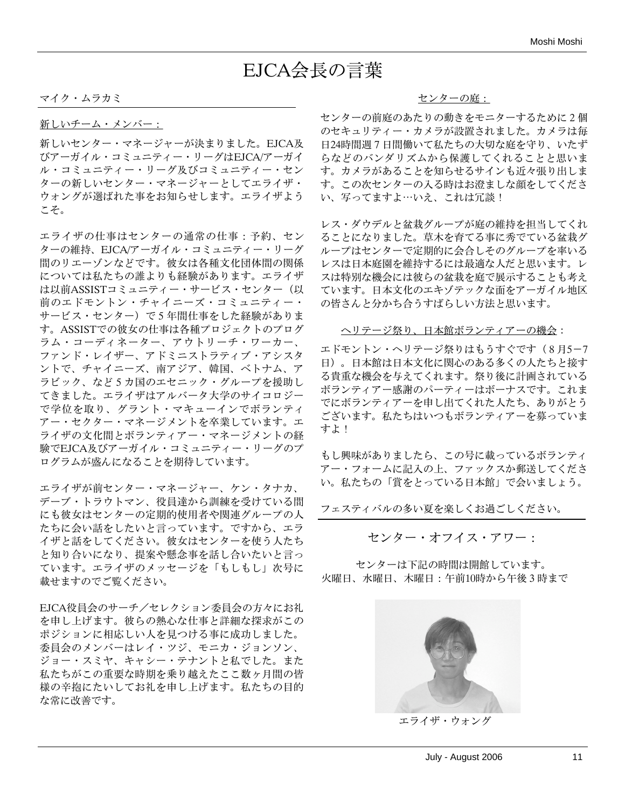# EJCA会長の言葉

マイク・ムラカミ

新しいチーム・メンバー:

新しいセンター・マネージャーが決まりました。EJCA及 びアーガイル・コミュニティー・リーグはEJCA/アーガイ ル・コミュニティー・リーグ及びコミュニティー・セン ターの新しいセンター・マネージャーとしてエライザ・ ウォングが選ばれた事をお知らせします。エライザよう こそ。

エライザの仕事はセンターの通常の仕事:予約、セン ターの維持、EJCA/アーガイル・コミュニティー・リーグ 間のリエーゾンなどです。彼女は各種文化団体間の関係 については私たちの誰よりも経験があります。エライザ は以前ASSISTコミュニティー・サービス・センター(以 前のエドモントン・チャイニーズ・コミュニティー・ サービス・センター)で5年間仕事をした経験がありま す。ASSISTでの彼女の仕事は各種プロジェクトのプログ ラム・コーディネーター、アウトリーチ・ワーカー、 ファンド・レイザー、アドミニストラティブ・アシスタ ントで、チャイニーズ、南アジア、韓国、ベトナム、ア ラビック、など5カ国のエセニック・グループを援助し てきました。エライザはアルバータ大学のサイコロジー で学位を取り、グラント・マキューインでボランティ アー・セクター・マネージメントを卒業しています。エ ライザの文化間とボランティアー・マネージメントの経 験でEJCA及びアーガイル・コミュニティー・リーグのプ ログラムが盛んになることを期待しています。

エライザが前センター・マネージャー、ケン・タナカ、 デーブ・トラウトマン、役員達から訓練を受けている間 にも彼女はセンターの定期的使用者や関連グループの人 たちに会い話をしたいと言っています。ですから、エラ イザと話をしてください。彼女はセンターを使う人たち と知り合いになり、提案や懸念事を話し合いたいと言っ ています。エライザのメッセージを「もしもし」次号に 載せますのでご覧ください。

EJCA役員会のサーチ/セレクション委員会の方々にお礼 を申し上げます。彼らの熱心な仕事と詳細な探求がこの ポジションに相応しい人を見つける事に成功しました。 委員会のメンバーはレイ・ツジ、モニカ・ジョンソン、 ジョー・スミヤ、キャシー・テナントと私でした。また 私たちがこの重要な時期を乗り越えたここ数ヶ月間の皆 様の辛抱にたいしてお礼を申し上げます。私たちの目的 な常に改善です。

#### センターの庭:

センターの前庭のあたりの動きをモニターするために2個 のセキュリティー・カメラが設置されました。カメラは毎 日24時間週7日間働いて私たちの大切な庭を守り、いたず らなどのバンダリズムから保護してくれることと思いま す。カメラがあることを知らせるサインも近々張り出しま す。この次センターの入る時はお澄ましな顔をしてくださ い、写ってますよ…いえ、これは冗談!

レス・ダウデルと盆栽グループが庭の維持を担当してくれ ることになりました。草木を育てる事に秀でている盆栽グ ループはセンターで定期的に会合しそのグループを率いる レスは日本庭園を維持するには最適な人だと思います。レ スは特別な機会には彼らの盆栽を庭で展示することも考え ています。日本文化のエキゾテックな面をアーガイル地区 の皆さんと分かち合うすばらしい方法と思います。

#### ヘリテージ祭り、日本館ボランティアーの機会:

エドモントン・ヘリテージ祭りはもうすぐです (8月5-7 日)。日本館は日本文化に関心のある多くの人たちと接す る貴重な機会を与えてくれます。祭り後に計画されている ボランティアー感謝のパーティーはボーナスです。これま でにボランティアーを申し出てくれた人たち、ありがとう ございます。私たちはいつもボランティアーを募っていま すよ!

もし興味がありましたら、この号に載っているボランティ アー・フォームに記入の上、ファックスか郵送してくださ い。私たちの「賞をとっている日本館」で会いましょう。

フェスティバルの多い夏を楽しくお過ごしください。

センター・オフイス・アワー:

センターは下記の時間は開館しています。 火曜日、水曜日、木曜日:午前10時から午後3時まで



エライザ・ウォング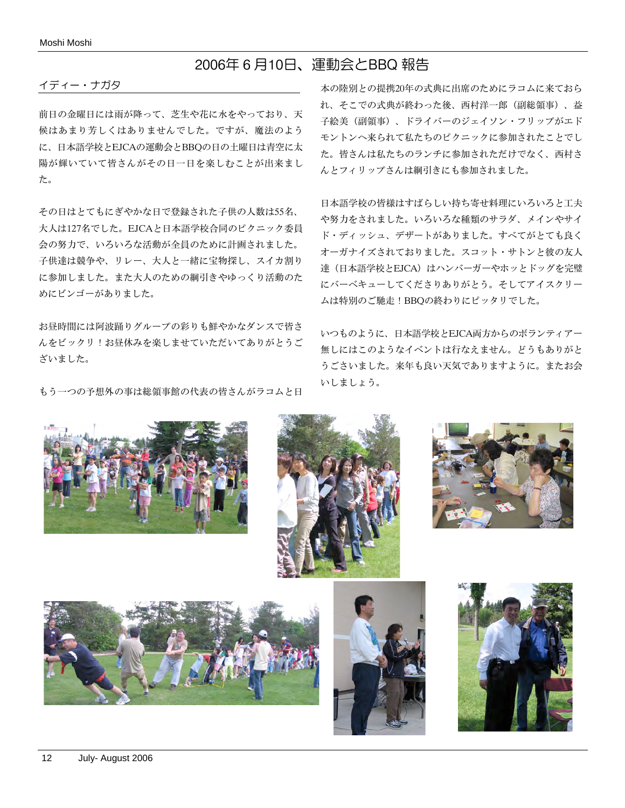# 2006年6月10日、運動会とBBQ 報告

#### イディー・ナガタ

前日の金曜日には雨が降って、芝生や花に水をやっており、天 候はあまり芳しくはありませんでした。ですが、魔法のよう に、日本語学校とEJCAの運動会とBBQの日の土曜日は青空に太 陽が輝いていて皆さんがその日一日を楽しむことが出来まし た。

その日はとてもにぎやかな日で登録された子供の人数は55名、 大人は127名でした。EJCAと日本語学校合同のピクニック委員 会の努力で、いろいろな活動が全員のために計画されました。 子供達は競争や、リレー、大人と一緒に宝物探し、スイカ割り に参加しました。また大人のための綱引きやゆっくり活動のた めにビンゴーがありました。

お昼時間には阿波踊りグループの彩りも鮮やかなダンスで皆さ んをビックリ!お昼休みを楽しませていただいてありがとうご ざいました。

もう一つの予想外の事は総領事館の代表の皆さんがラコムと日

本の陸別との提携20年の式典に出席のためにラコムに来ておら れ、そこでの式典が終わった後、西村洋一郎(副総領事)、益 子絵美(副領事)、ドライバーのジェイソン・フリップがエド モントンへ来られて私たちのピクニックに参加されたことでし た。皆さんは私たちのランチに参加されただけでなく、西村さ んとフィリップさんは綱引きにも参加されました。

日本語学校の皆様はすばらしい持ち寄せ料理にいろいろと工夫 や努力をされました。いろいろな種類のサラダ、メインやサイ ド・ディッシュ、デザートがありました。すべてがとても良く オーガナイズされておりました。スコット・サトンと彼の友人 達(日本語学校とEJCA)はハンバーガーやホッとドッグを完璧 にバーベキューしてくださりありがとう。そしてアイスクリー ムは特別のご馳走!BBQの終わりにピッタリでした。

いつものように、日本語学校とEJCA両方からのボランティアー 無しにはこのようなイベントは行なえません。どうもありがと うごさいました。来年も良い天気でありますように。またお会 いしましょう。











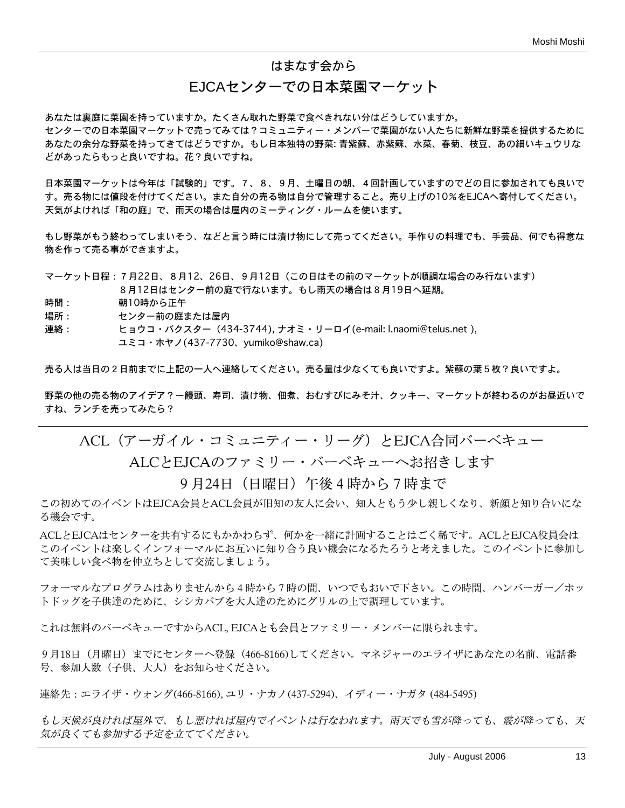#### はまなす会から

### EJCAセンターでの日本菜園マーケット

あなたは裏庭に菜園を持っていますか。たくさん取れた野菜で食べきれない分はどうしていますか。 センターでの日本菜園マーケットで売ってみては?コミュニティー・メンバーで菜園がない人たちに新鮮な野菜を提供するために あなたの余分な野菜を持ってきてはどうですか。もし日本独特の野菜: 青紫蘇、赤紫蘇、水菜、春菊、枝豆、あの細いキュウリな どがあったらもっと良いですね。花?良いですね。

日本菜園マーケットは今年は「試験的」です。7、8、9月、土曜日の朝、4回計画していますのでどの日に参加されても良いで す。売る物には値段を付けてください。また自分の売る物は自分で管理すること。売り上げの10%をEJCAへ寄付してください。 天気がよければ「和の庭」で、雨天の場合は屋内のミーティング・ルームを使います。

もし野菜がもう終わってしまいそう、などと言う時には漬け物にして売ってください。手作りの料理でも、手芸品、何でも得意な 物を作って売る事ができますよ。

マーケット日程:7月22日、8月12、26日、9月12日(この日はその前のマーケットが順調な場合のみ行ないます) 8月12日はセンター前の庭で行ないます。もし雨天の場合は8月19日へ延期。

- 時間: 朝10時から正午
- 場所: センター前の庭または屋内
- 連絡: ヒョウコ・バクスター(434-3744), ナオミ・リーロイ(e-mail: l.naomi@telus.net ), ユミコ・ホヤノ(437-7730、yumiko@shaw.ca)

売る人は当日の2日前までに上記の一人へ連絡してください。売る量は少なくても良いですよ。紫蘇の葉5枚?良いですよ。

野菜の他の売る物のアイデア?ー饅頭、寿司、漬け物、佃煮、おむすびにみそ汁、クッキー、マーケットが終わるのがお昼近いで すね、ランチを売ってみたら?

ACL(アーガイル・コミュニティー・リーグ)とEJCA合同バーベキュー

ALCとEJCAのファミリー・バーベキューへお招きします

9月24日 (日曜日)午後4時から7時まで

この初めてのイベントはEJCA会員とACL会員が旧知の友人に会い、知人ともう少し親しくなり、新顔と知り合いにな る機会です。

ACLとEJCAはセンターを共有するにもかかわらず、何かを一緒に計画することはごく稀です。ACLとEJCA役員会は このイベントは楽しくインフォーマルにお互いに知り合う良い機会になるたろうと考えました。このイベントに参加し て美味しい食べ物を仲立ちとして交流しましょう。

フォーマルなプログラムはありませんから4時から7時の間、いつでもおいで下さい。この時間、ハンバーガー/ホッ トドッグを子供達のために、シシカバブを大人達のためにグリルの上で調理しています。

これは無料のバーベキューですからACL, EJCAとも会員とファミリー・メンバーに限られます。

9月18日 (月曜日) までにセンターへ登録 (466-8166)してください。マネジャーのエライザにあなたの名前、電話番 号、参加人数(子供、大人)をお知らせください。

連絡先:エライザ・ウォング(466-8166), ユリ・ナカノ(437-5294)、イディー・ナガタ (484-5495)

もし天候が良ければ屋外で、もし悪ければ屋内でイベントは行なわれます。雨天でも雪が降っても、霰が降っても、天 気が良くても参加する予定を立ててください。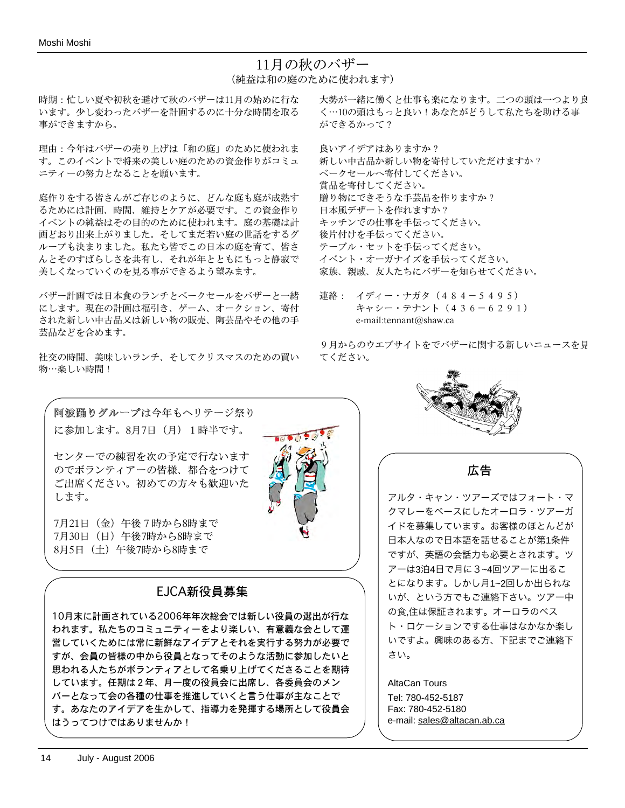# 11月の秋のバザー (純益は和の庭のために使われます)

 $\overline{10}$ 

時期:忙しい夏や初秋を避けて秋のバザーは11月の始めに行な います。少し変わったバザーを計画するのに十分な時間を取る 事ができますから。

理由:今年はバザーの売り上げは「和の庭」のために使われま す。このイベントで将来の美しい庭のための資金作りがコミュ ニティーの努力となることを願います。

庭作りをする皆さんがご存じのように、どんな庭も庭が成熟す るためには計画、時間、維持とケアが必要です。この資金作り イベントの純益はその目的のために使われます。庭の基礎は計 画どおり出来上がりました。そしてまだ若い庭の世話をするグ ループも決まりました。私たち皆でこの日本の庭を育て、皆さ んとそのすばらしさを共有し、それが年とともにもっと静寂で 美しくなっていくのを見る事ができるよう望みます。

バザー計画では日本食のランチとベークセールをバザーと一緒 にします。現在の計画は福引き、ゲーム、オークション、寄付 された新しい中古品又は新しい物の販売、陶芸品やその他の手 芸品などを含めます。

社交の時間、美味しいランチ、そしてクリスマスのための買い 物…楽しい時間!

大勢が一緒に働くと仕事も楽になります。二つの頭は一つより良 く⋯10の頭はもっと良い!あなたがどうして私たちを助ける事 ができるかって?

良いアイデアはありますか? 新しい中古品か新しい物を寄付していただけますか? ベークセールへ寄付してください。 賞品を寄付してください。 贈り物にできそうな手芸品を作りますか? 日本風デザートを作れますか? キッチンでの仕事を手伝ってください。 後片付けを手伝ってください。 テーブル・セットを手伝ってください。 イベント・オーガナイズを手伝ってください。 家族、親戚、友人たちにバザーを知らせてください。

連絡: イディー・ナガタ(484-5495) キャシー・テナント(436-6291) e-mail:tennant@shaw.ca

9月からのウエブサイトをでバザーに関する新しいニュースを見 てください。

阿波踊りグループは今年もヘリテージ祭り に参加します。8月7日(月) 1時半です。

センターでの練習を次の予定で行ないます のでボランティアーの皆様、都合をつけて ご出席ください。初めての方々も歓迎いた します。

7月21日(金)午後7時から8時まで 7月30日(日)午後7時から8時まで 8月5日(土)午後7時から8時まで

# EJCA新役員募集

10月末に計画されている2006年年次総会では新しい役員の選出が行な われます。私たちのコミュニティーをより楽しい、有意義な会として運 営していくためには常に新鮮なアイデアとそれを実行する努力が必要で すが、会員の皆様の中から役員となってそのような活動に参加したいと 思われる人たちがボランティアとして名乗り上げてくださることを期待 しています。任期は2年、月一度の役員会に出席し、各委員会のメン バーとなって会の各種の仕事を推進していくと言う仕事が主なことで す。あなたのアイデアを生かして、指導力を発揮する場所として役員会 はうってつけではありませんか!



広告

アルタ・キャン・ツアーズではフォート・マ クマレーをベースにしたオーロラ・ツアーガ イドを募集しています。お客様のほとんどが 日本人なので日本語を話せることが第1条件 ですが、英語の会話力も必要とされます。ツ アーは3泊4日で月に3~4回ツアーに出るこ とになります。しかし月1~2回しか出られな いが、という方でもご連絡下さい。ツアー中 の食,住は保証されます。オーロラのベス ト・ロケーションでする仕事はなかなか楽し いですよ。興味のある方、下記までご連絡下 さい。

AltaCan Tours Tel: 780-452-5187 Fax: 780-452-5180 e-mail: sales@altacan.ab.ca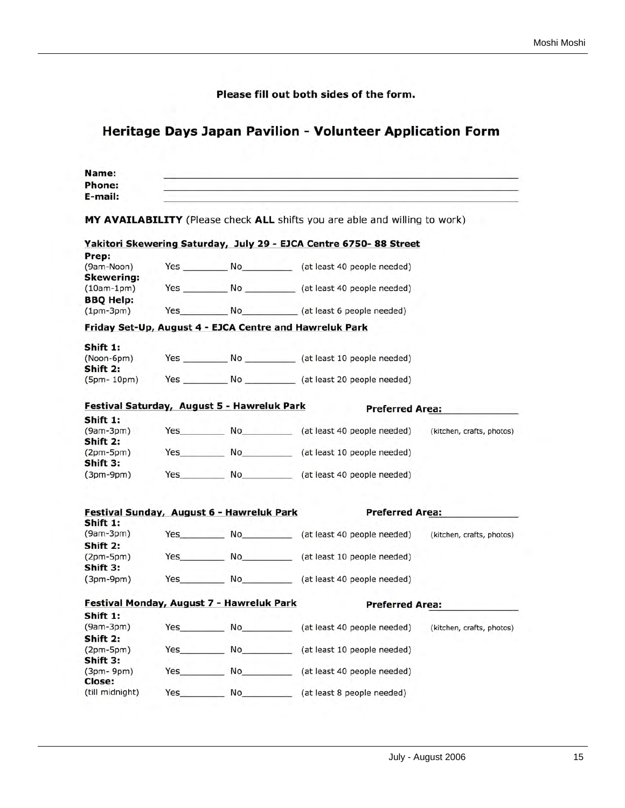Please fill out both sides of the form.

# Heritage Days Japan Pavilion - Volunteer Application Form

| Name:                   |            |                                                                                                                                                                                                                                  |                                                                            |                           |
|-------------------------|------------|----------------------------------------------------------------------------------------------------------------------------------------------------------------------------------------------------------------------------------|----------------------------------------------------------------------------|---------------------------|
| Phone:                  |            |                                                                                                                                                                                                                                  |                                                                            |                           |
| E-mail:                 |            |                                                                                                                                                                                                                                  |                                                                            |                           |
|                         |            |                                                                                                                                                                                                                                  | MY AVAILABILITY (Please check ALL shifts you are able and willing to work) |                           |
|                         |            |                                                                                                                                                                                                                                  | Yakitori Skewering Saturday, July 29 - EJCA Centre 6750- 88 Street         |                           |
| Prep:                   |            |                                                                                                                                                                                                                                  |                                                                            |                           |
| (9am-Noon)              |            |                                                                                                                                                                                                                                  | Yes No (at least 40 people needed)                                         |                           |
| <b>Skewering:</b>       |            |                                                                                                                                                                                                                                  |                                                                            |                           |
| $(10am-1pm)$            |            |                                                                                                                                                                                                                                  | Yes No (at least 40 people needed)                                         |                           |
| <b>BBQ Help:</b>        |            |                                                                                                                                                                                                                                  |                                                                            |                           |
| $(1pm-3pm)$             |            |                                                                                                                                                                                                                                  | Yes No (at least 6 people needed)                                          |                           |
|                         |            |                                                                                                                                                                                                                                  | Friday Set-Up, August 4 - EJCA Centre and Hawreluk Park                    |                           |
| Shift 1:                |            |                                                                                                                                                                                                                                  |                                                                            |                           |
| (Noon-6pm)              |            |                                                                                                                                                                                                                                  |                                                                            |                           |
| Shift 2:                |            |                                                                                                                                                                                                                                  |                                                                            |                           |
| $(5pm-10pm)$            |            |                                                                                                                                                                                                                                  |                                                                            |                           |
|                         |            |                                                                                                                                                                                                                                  |                                                                            |                           |
|                         |            | Festival Saturday, August 5 - Hawreluk Park                                                                                                                                                                                      | <b>Preferred Area:</b>                                                     |                           |
| Shift 1:                |            |                                                                                                                                                                                                                                  |                                                                            |                           |
| (9am-3pm)               |            |                                                                                                                                                                                                                                  | Yes No (at least 40 people needed)                                         | (kitchen, crafts, photos) |
| Shift 2:                |            |                                                                                                                                                                                                                                  |                                                                            |                           |
| $(2pm-5pm)$             | Yes        | No No                                                                                                                                                                                                                            | (at least 10 people needed)<br>$-1$                                        |                           |
| Shift 3:<br>$(3pm-9pm)$ | Yes        | No provide a provide a provide a provide a provide a provide a provide a provide a provide a provide a provide<br>District of the provide a provide a provide a provide a provide a provide a provide a provide a provide a prov | (at least 40 people needed)                                                |                           |
|                         |            |                                                                                                                                                                                                                                  |                                                                            |                           |
|                         |            | Festival Sunday, August 6 - Hawreluk Park                                                                                                                                                                                        | <b>Preferred Area:</b>                                                     |                           |
| Shift 1:                |            |                                                                                                                                                                                                                                  |                                                                            |                           |
| $(9am-3pm)$             |            |                                                                                                                                                                                                                                  | Yes No (at least 40 people needed)                                         | (kitchen, crafts, photos) |
| Shift 2:                |            |                                                                                                                                                                                                                                  |                                                                            |                           |
| $(2pm-5pm)$             | Yes        |                                                                                                                                                                                                                                  | No (at least 10 people needed)                                             |                           |
| Shift 3:                |            |                                                                                                                                                                                                                                  |                                                                            |                           |
| $(3pm-9pm)$             | Yes        |                                                                                                                                                                                                                                  | No ____________ (at least 40 people needed)                                |                           |
|                         |            | Festival Monday, August 7 - Hawreluk Park                                                                                                                                                                                        | <b>Preferred Area:</b>                                                     |                           |
| Shift 1:                |            |                                                                                                                                                                                                                                  |                                                                            |                           |
| $(9am-3pm)$             | Yes        | <b>No</b>                                                                                                                                                                                                                        | (at least 40 people needed)                                                | (kitchen, crafts, photos) |
| Shift 2:                |            |                                                                                                                                                                                                                                  |                                                                            |                           |
| $(2pm-5pm)$             | <b>Yes</b> |                                                                                                                                                                                                                                  | No <sub>___</sub> __________ (at least 10 people needed)                   |                           |
| Shift 3:                |            |                                                                                                                                                                                                                                  |                                                                            |                           |
| $(3pm-9pm)$             | Yes        |                                                                                                                                                                                                                                  | No <sub>___________</sub> (at least 40 people needed)                      |                           |
| Close:                  |            |                                                                                                                                                                                                                                  |                                                                            |                           |
| (till midnight)         | Yes        | <b>No</b>                                                                                                                                                                                                                        | (at least 8 people needed)                                                 |                           |
|                         |            |                                                                                                                                                                                                                                  |                                                                            |                           |